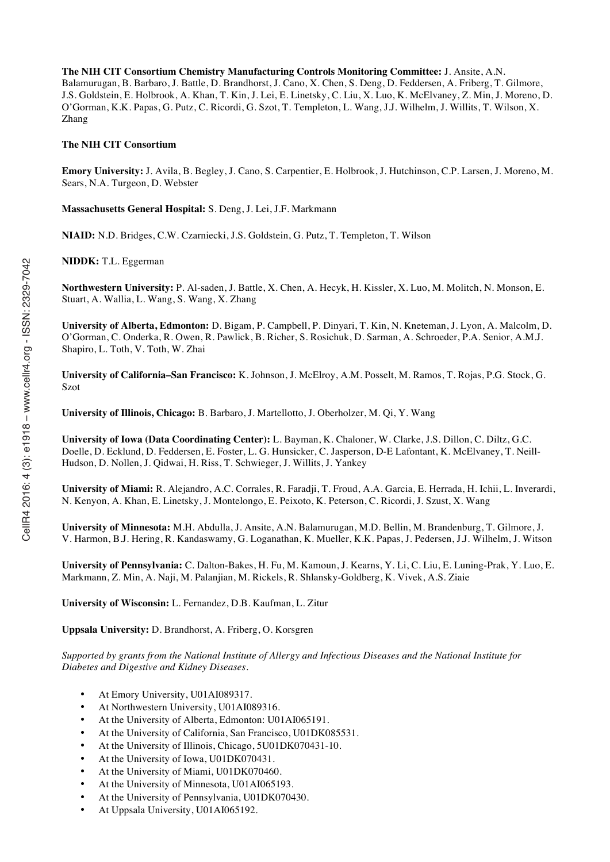**The NIH CIT Consortium Chemistry Manufacturing Controls Monitoring Committee:** J. Ansite, A.N. Balamurugan, B. Barbaro, J. Battle, D. Brandhorst, J. Cano, X. Chen, S. Deng, D. Feddersen, A. Friberg, T. Gilmore, J.S. Goldstein, E. Holbrook, A. Khan, T. Kin, J. Lei, E. Linetsky, C. Liu, X. Luo, K. McElvaney, Z. Min, J. Moreno, D. O'Gorman, K.K. Papas, G. Putz, C. Ricordi, G. Szot, T. Templeton, L. Wang, J.J. Wilhelm, J. Willits, T. Wilson, X. Zhang

# **The NIH CIT Consortium**

**Emory University:** J. Avila, B. Begley, J. Cano, S. Carpentier, E. Holbrook, J. Hutchinson, C.P. Larsen, J. Moreno, M. Sears, N.A. Turgeon, D. Webster

**Massachusetts General Hospital:** S. Deng, J. Lei, J.F. Markmann

**NIAID:** N.D. Bridges, C.W. Czarniecki, J.S. Goldstein, G. Putz, T. Templeton, T. Wilson

**NIDDK:** T.L. Eggerman

**Northwestern University:** P. Al-saden, J. Battle, X. Chen, A. Hecyk, H. Kissler, X. Luo, M. Molitch, N. Monson, E. Stuart, A. Wallia, L. Wang, S. Wang, X. Zhang

**University of Alberta, Edmonton:** D. Bigam, P. Campbell, P. Dinyari, T. Kin, N. Kneteman, J. Lyon, A. Malcolm, D. O'Gorman, C. Onderka, R. Owen, R. Pawlick, B. Richer, S. Rosichuk, D. Sarman, A. Schroeder, P.A. Senior, A.M.J. Shapiro, L. Toth, V. Toth, W. Zhai

**University of California–San Francisco:** K. Johnson, J. McElroy, A.M. Posselt, M. Ramos, T. Rojas, P.G. Stock, G. Szot

**University of Illinois, Chicago:** B. Barbaro, J. Martellotto, J. Oberholzer, M. Qi, Y. Wang

**University of Iowa (Data Coordinating Center):** L. Bayman, K. Chaloner, W. Clarke, J.S. Dillon, C. Diltz, G.C. Doelle, D. Ecklund, D. Feddersen, E. Foster, L. G. Hunsicker, C. Jasperson, D-E Lafontant, K. McElvaney, T. Neill-Hudson, D. Nollen, J. Qidwai, H. Riss, T. Schwieger, J. Willits, J. Yankey

**University of Miami:** R. Alejandro, A.C. Corrales, R. Faradji, T. Froud, A.A. Garcia, E. Herrada, H. Ichii, L. Inverardi, N. Kenyon, A. Khan, E. Linetsky, J. Montelongo, E. Peixoto, K. Peterson, C. Ricordi, J. Szust, X. Wang

**University of Minnesota:** M.H. Abdulla, J. Ansite, A.N. Balamurugan, M.D. Bellin, M. Brandenburg, T. Gilmore, J. V. Harmon, B.J. Hering, R. Kandaswamy, G. Loganathan, K. Mueller, K.K. Papas, J. Pedersen, J.J. Wilhelm, J. Witson

**University of Pennsylvania:** C. Dalton-Bakes, H. Fu, M. Kamoun, J. Kearns, Y. Li, C. Liu, E. Luning-Prak, Y. Luo, E. Markmann, Z. Min, A. Naji, M. Palanjian, M. Rickels, R. Shlansky-Goldberg, K. Vivek, A.S. Ziaie

**University of Wisconsin:** L. Fernandez, D.B. Kaufman, L. Zitur

**Uppsala University:** D. Brandhorst, A. Friberg, O. Korsgren

*Supported by grants from the National Institute of Allergy and Infectious Diseases and the National Institute for Diabetes and Digestive and Kidney Diseases.*

- At Emory University, U01AI089317.
- At Northwestern University, U01AI089316.
- At the University of Alberta, Edmonton: U01AI065191.
- At the University of California, San Francisco, U01DK085531.
- At the University of Illinois, Chicago, 5U01DK070431-10.
- At the University of Iowa, U01DK070431.
- At the University of Miami, U01DK070460.
- At the University of Minnesota, U01AI065193.
- At the University of Pennsylvania, U01DK070430.
- At Uppsala University, U01AI065192.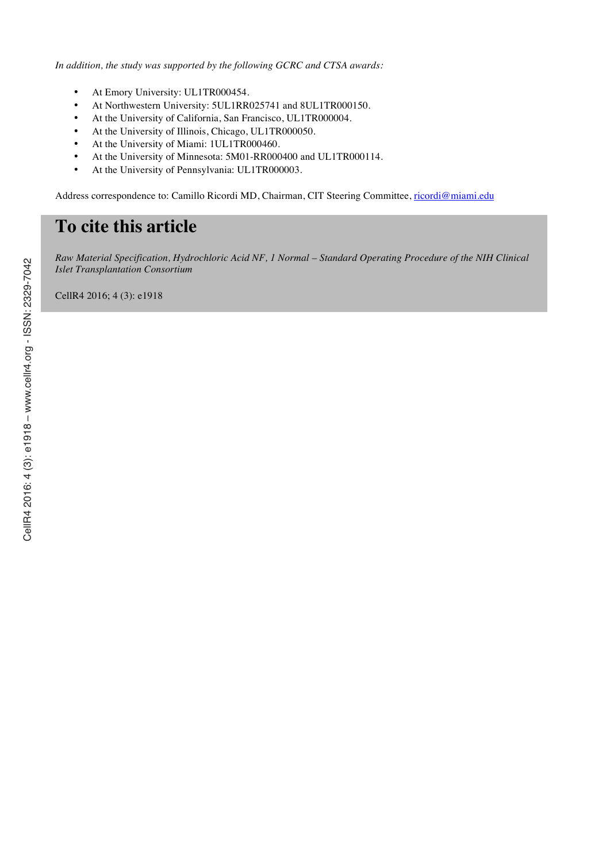*In addition, the study was supported by the following GCRC and CTSA awards:*

- At Emory University: UL1TR000454.
- At Northwestern University: 5UL1RR025741 and 8UL1TR000150.
- At the University of California, San Francisco, UL1TR000004.
- At the University of Illinois, Chicago, UL1TR000050.
- At the University of Miami: 1UL1TR000460.
- At the University of Minnesota: 5M01-RR000400 and UL1TR000114.
- At the University of Pennsylvania: UL1TR000003.

Address correspondence to: Camillo Ricordi MD, Chairman, CIT Steering Committee, ricordi@miami.edu

# **To cite this article**

*Raw Material Specification, Hydrochloric Acid NF, 1 Normal – Standard Operating Procedure of the NIH Clinical Islet Transplantation Consortium*

CellR4 2016; 4 (3): e1918